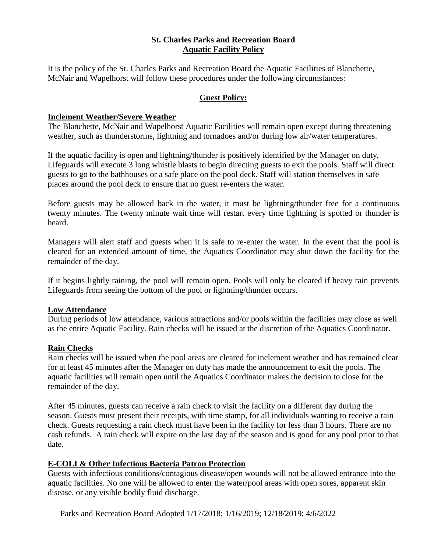### **St. Charles Parks and Recreation Board Aquatic Facility Policy**

It is the policy of the St. Charles Parks and Recreation Board the Aquatic Facilities of Blanchette, McNair and Wapelhorst will follow these procedures under the following circumstances:

## **Guest Policy:**

### **Inclement Weather/Severe Weather**

The Blanchette, McNair and Wapelhorst Aquatic Facilities will remain open except during threatening weather, such as thunderstorms, lightning and tornadoes and/or during low air/water temperatures.

If the aquatic facility is open and lightning/thunder is positively identified by the Manager on duty, Lifeguards will execute 3 long whistle blasts to begin directing guests to exit the pools. Staff will direct guests to go to the bathhouses or a safe place on the pool deck. Staff will station themselves in safe places around the pool deck to ensure that no guest re-enters the water.

Before guests may be allowed back in the water, it must be lightning/thunder free for a continuous twenty minutes. The twenty minute wait time will restart every time lightning is spotted or thunder is heard.

Managers will alert staff and guests when it is safe to re-enter the water. In the event that the pool is cleared for an extended amount of time, the Aquatics Coordinator may shut down the facility for the remainder of the day.

If it begins lightly raining, the pool will remain open. Pools will only be cleared if heavy rain prevents Lifeguards from seeing the bottom of the pool or lightning/thunder occurs.

### **Low Attendance**

During periods of low attendance, various attractions and/or pools within the facilities may close as well as the entire Aquatic Facility. Rain checks will be issued at the discretion of the Aquatics Coordinator.

## **Rain Checks**

Rain checks will be issued when the pool areas are cleared for inclement weather and has remained clear for at least 45 minutes after the Manager on duty has made the announcement to exit the pools. The aquatic facilities will remain open until the Aquatics Coordinator makes the decision to close for the remainder of the day.

After 45 minutes, guests can receive a rain check to visit the facility on a different day during the season. Guests must present their receipts, with time stamp, for all individuals wanting to receive a rain check. Guests requesting a rain check must have been in the facility for less than 3 hours. There are no cash refunds. A rain check will expire on the last day of the season and is good for any pool prior to that date.

## **E-COLI & Other Infectious Bacteria Patron Protection**

Guests with infectious conditions/contagious disease/open wounds will not be allowed entrance into the aquatic facilities. No one will be allowed to enter the water/pool areas with open sores, apparent skin disease, or any visible bodily fluid discharge.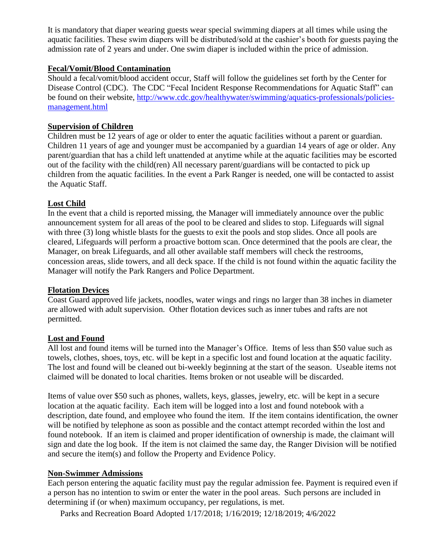It is mandatory that diaper wearing guests wear special swimming diapers at all times while using the aquatic facilities. These swim diapers will be distributed/sold at the cashier's booth for guests paying the admission rate of 2 years and under. One swim diaper is included within the price of admission.

### **Fecal/Vomit/Blood Contamination**

Should a fecal/vomit/blood accident occur, Staff will follow the guidelines set forth by the Center for Disease Control (CDC). The CDC "Fecal Incident Response Recommendations for Aquatic Staff" can be found on their website, [http://www.cdc.gov/healthywater/swimming/aquatics-professionals/policies](http://www.cdc.gov/healthywater/swimming/aquatics-professionals/policies-management.html)[management.html](http://www.cdc.gov/healthywater/swimming/aquatics-professionals/policies-management.html)

### **Supervision of Children**

Children must be 12 years of age or older to enter the aquatic facilities without a parent or guardian. Children 11 years of age and younger must be accompanied by a guardian 14 years of age or older. Any parent/guardian that has a child left unattended at anytime while at the aquatic facilities may be escorted out of the facility with the child(ren) All necessary parent/guardians will be contacted to pick up children from the aquatic facilities. In the event a Park Ranger is needed, one will be contacted to assist the Aquatic Staff.

### **Lost Child**

In the event that a child is reported missing, the Manager will immediately announce over the public announcement system for all areas of the pool to be cleared and slides to stop. Lifeguards will signal with three (3) long whistle blasts for the guests to exit the pools and stop slides. Once all pools are cleared, Lifeguards will perform a proactive bottom scan. Once determined that the pools are clear, the Manager, on break Lifeguards, and all other available staff members will check the restrooms, concession areas, slide towers, and all deck space. If the child is not found within the aquatic facility the Manager will notify the Park Rangers and Police Department.

### **Flotation Devices**

Coast Guard approved life jackets, noodles, water wings and rings no larger than 38 inches in diameter are allowed with adult supervision. Other flotation devices such as inner tubes and rafts are not permitted.

### **Lost and Found**

All lost and found items will be turned into the Manager's Office. Items of less than \$50 value such as towels, clothes, shoes, toys, etc. will be kept in a specific lost and found location at the aquatic facility. The lost and found will be cleaned out bi-weekly beginning at the start of the season. Useable items not claimed will be donated to local charities. Items broken or not useable will be discarded.

Items of value over \$50 such as phones, wallets, keys, glasses, jewelry, etc. will be kept in a secure location at the aquatic facility. Each item will be logged into a lost and found notebook with a description, date found, and employee who found the item. If the item contains identification, the owner will be notified by telephone as soon as possible and the contact attempt recorded within the lost and found notebook. If an item is claimed and proper identification of ownership is made, the claimant will sign and date the log book. If the item is not claimed the same day, the Ranger Division will be notified and secure the item(s) and follow the Property and Evidence Policy.

### **Non-Swimmer Admissions**

Each person entering the aquatic facility must pay the regular admission fee. Payment is required even if a person has no intention to swim or enter the water in the pool areas. Such persons are included in determining if (or when) maximum occupancy, per regulations, is met.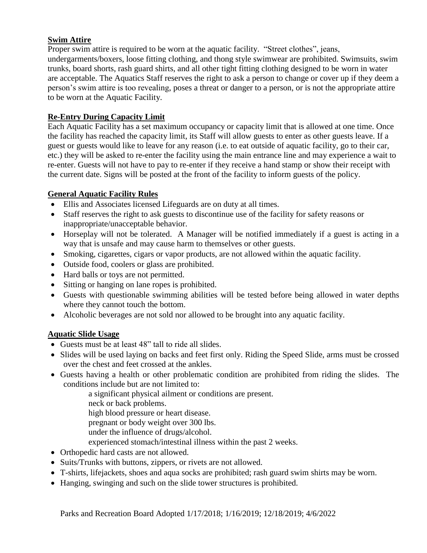## **Swim Attire**

Proper swim attire is required to be worn at the aquatic facility. "Street clothes", jeans, undergarments/boxers, loose fitting clothing, and thong style swimwear are prohibited. Swimsuits, swim trunks, board shorts, rash guard shirts, and all other tight fitting clothing designed to be worn in water are acceptable. The Aquatics Staff reserves the right to ask a person to change or cover up if they deem a person's swim attire is too revealing, poses a threat or danger to a person, or is not the appropriate attire to be worn at the Aquatic Facility.

## **Re-Entry During Capacity Limit**

Each Aquatic Facility has a set maximum occupancy or capacity limit that is allowed at one time. Once the facility has reached the capacity limit, its Staff will allow guests to enter as other guests leave. If a guest or guests would like to leave for any reason (i.e. to eat outside of aquatic facility, go to their car, etc.) they will be asked to re-enter the facility using the main entrance line and may experience a wait to re-enter. Guests will not have to pay to re-enter if they receive a hand stamp or show their receipt with the current date. Signs will be posted at the front of the facility to inform guests of the policy.

## **General Aquatic Facility Rules**

- Ellis and Associates licensed Lifeguards are on duty at all times.
- Staff reserves the right to ask guests to discontinue use of the facility for safety reasons or inappropriate/unacceptable behavior.
- Horseplay will not be tolerated. A Manager will be notified immediately if a guest is acting in a way that is unsafe and may cause harm to themselves or other guests.
- Smoking, cigarettes, cigars or vapor products, are not allowed within the aquatic facility.
- Outside food, coolers or glass are prohibited.
- Hard balls or toys are not permitted.
- Sitting or hanging on lane ropes is prohibited.
- Guests with questionable swimming abilities will be tested before being allowed in water depths where they cannot touch the bottom.
- Alcoholic beverages are not sold nor allowed to be brought into any aquatic facility.

# **Aquatic Slide Usage**

- Guests must be at least 48" tall to ride all slides.
- Slides will be used laying on backs and feet first only. Riding the Speed Slide, arms must be crossed over the chest and feet crossed at the ankles.
- Guests having a health or other problematic condition are prohibited from riding the slides. The conditions include but are not limited to:

a significant physical ailment or conditions are present.

- neck or back problems.
- high blood pressure or heart disease.
- pregnant or body weight over 300 lbs.
- under the influence of drugs/alcohol.
- experienced stomach/intestinal illness within the past 2 weeks.
- Orthopedic hard casts are not allowed.
- Suits/Trunks with buttons, zippers, or rivets are not allowed.
- T-shirts, lifejackets, shoes and aqua socks are prohibited; rash guard swim shirts may be worn.
- Hanging, swinging and such on the slide tower structures is prohibited.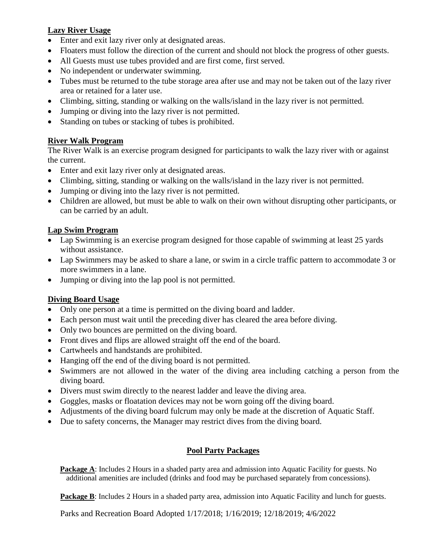# **Lazy River Usage**

- Enter and exit lazy river only at designated areas.
- Floaters must follow the direction of the current and should not block the progress of other guests.
- All Guests must use tubes provided and are first come, first served.
- No independent or underwater swimming.
- Tubes must be returned to the tube storage area after use and may not be taken out of the lazy river area or retained for a later use.
- Climbing, sitting, standing or walking on the walls/island in the lazy river is not permitted.
- Jumping or diving into the lazy river is not permitted.
- Standing on tubes or stacking of tubes is prohibited.

# **River Walk Program**

The River Walk is an exercise program designed for participants to walk the lazy river with or against the current.

- Enter and exit lazy river only at designated areas.
- Climbing, sitting, standing or walking on the walls/island in the lazy river is not permitted.
- Jumping or diving into the lazy river is not permitted.
- Children are allowed, but must be able to walk on their own without disrupting other participants, or can be carried by an adult.

## **Lap Swim Program**

- Lap Swimming is an exercise program designed for those capable of swimming at least 25 yards without assistance.
- Lap Swimmers may be asked to share a lane, or swim in a circle traffic pattern to accommodate 3 or more swimmers in a lane.
- Jumping or diving into the lap pool is not permitted.

# **Diving Board Usage**

- Only one person at a time is permitted on the diving board and ladder.
- Each person must wait until the preceding diver has cleared the area before diving.
- Only two bounces are permitted on the diving board.
- Front dives and flips are allowed straight off the end of the board.
- Cartwheels and handstands are prohibited.
- Hanging off the end of the diving board is not permitted.
- Swimmers are not allowed in the water of the diving area including catching a person from the diving board.
- Divers must swim directly to the nearest ladder and leave the diving area.
- Goggles, masks or floatation devices may not be worn going off the diving board.
- Adjustments of the diving board fulcrum may only be made at the discretion of Aquatic Staff.
- Due to safety concerns, the Manager may restrict dives from the diving board.

# **Pool Party Packages**

**Package A**: Includes 2 Hours in a shaded party area and admission into Aquatic Facility for guests. No additional amenities are included (drinks and food may be purchased separately from concessions).

**Package B**: Includes 2 Hours in a shaded party area, admission into Aquatic Facility and lunch for guests.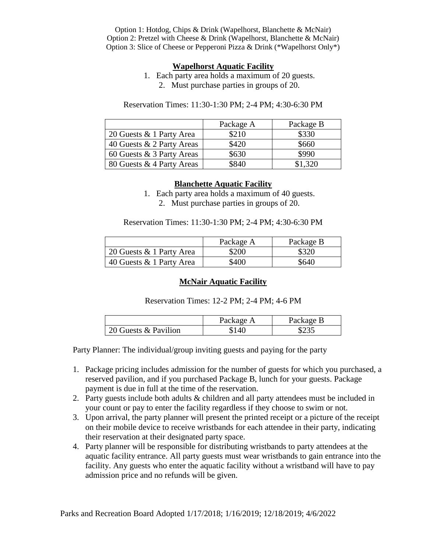Option 1: Hotdog, Chips & Drink (Wapelhorst, Blanchette & McNair) Option 2: Pretzel with Cheese & Drink (Wapelhorst, Blanchette & McNair) Option 3: Slice of Cheese or Pepperoni Pizza & Drink (\*Wapelhorst Only\*)

#### **Wapelhorst Aquatic Facility**

- 1. Each party area holds a maximum of 20 guests.
	- 2. Must purchase parties in groups of 20.

Reservation Times: 11:30-1:30 PM; 2-4 PM; 4:30-6:30 PM

|                           | Package A | Package B |
|---------------------------|-----------|-----------|
| 20 Guests & 1 Party Area  | \$210     | \$330     |
| 40 Guests & 2 Party Areas | \$420     | \$660     |
| 60 Guests & 3 Party Areas | \$630     | \$990     |
| 80 Guests & 4 Party Areas | \$840     | \$1,320   |

## **Blanchette Aquatic Facility**

1. Each party area holds a maximum of 40 guests. 2. Must purchase parties in groups of 20.

Reservation Times: 11:30-1:30 PM; 2-4 PM; 4:30-6:30 PM

|                          | Package A | Package B |
|--------------------------|-----------|-----------|
| 20 Guests & 1 Party Area | \$200     | \$320     |
| 40 Guests & 1 Party Area | \$400     | \$640     |

### **McNair Aquatic Facility**

Reservation Times: 12-2 PM; 2-4 PM; 4-6 PM

|                      | Package A | Package B |
|----------------------|-----------|-----------|
| 20 Guests & Pavilion | 140       |           |

Party Planner: The individual/group inviting guests and paying for the party

- 1. Package pricing includes admission for the number of guests for which you purchased, a reserved pavilion, and if you purchased Package B, lunch for your guests. Package payment is due in full at the time of the reservation.
- 2. Party guests include both adults & children and all party attendees must be included in your count or pay to enter the facility regardless if they choose to swim or not.
- 3. Upon arrival, the party planner will present the printed receipt or a picture of the receipt on their mobile device to receive wristbands for each attendee in their party, indicating their reservation at their designated party space.
- 4. Party planner will be responsible for distributing wristbands to party attendees at the aquatic facility entrance. All party guests must wear wristbands to gain entrance into the facility. Any guests who enter the aquatic facility without a wristband will have to pay admission price and no refunds will be given.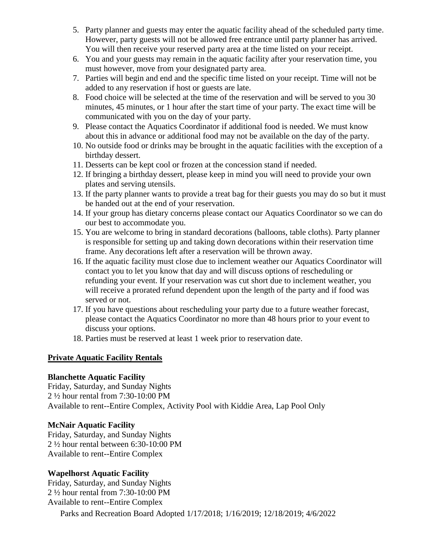- 5. Party planner and guests may enter the aquatic facility ahead of the scheduled party time. However, party guests will not be allowed free entrance until party planner has arrived. You will then receive your reserved party area at the time listed on your receipt.
- 6. You and your guests may remain in the aquatic facility after your reservation time, you must however, move from your designated party area.
- 7. Parties will begin and end and the specific time listed on your receipt. Time will not be added to any reservation if host or guests are late.
- 8. Food choice will be selected at the time of the reservation and will be served to you 30 minutes, 45 minutes, or 1 hour after the start time of your party. The exact time will be communicated with you on the day of your party.
- 9. Please contact the Aquatics Coordinator if additional food is needed. We must know about this in advance or additional food may not be available on the day of the party.
- 10. No outside food or drinks may be brought in the aquatic facilities with the exception of a birthday dessert.
- 11. Desserts can be kept cool or frozen at the concession stand if needed.
- 12. If bringing a birthday dessert, please keep in mind you will need to provide your own plates and serving utensils.
- 13. If the party planner wants to provide a treat bag for their guests you may do so but it must be handed out at the end of your reservation.
- 14. If your group has dietary concerns please contact our Aquatics Coordinator so we can do our best to accommodate you.
- 15. You are welcome to bring in standard decorations (balloons, table cloths). Party planner is responsible for setting up and taking down decorations within their reservation time frame. Any decorations left after a reservation will be thrown away.
- 16. If the aquatic facility must close due to inclement weather our Aquatics Coordinator will contact you to let you know that day and will discuss options of rescheduling or refunding your event. If your reservation was cut short due to inclement weather, you will receive a prorated refund dependent upon the length of the party and if food was served or not.
- 17. If you have questions about rescheduling your party due to a future weather forecast, please contact the Aquatics Coordinator no more than 48 hours prior to your event to discuss your options.
- 18. Parties must be reserved at least 1 week prior to reservation date.

## **Private Aquatic Facility Rentals**

### **Blanchette Aquatic Facility**

Friday, Saturday, and Sunday Nights 2 ½ hour rental from 7:30-10:00 PM Available to rent--Entire Complex, Activity Pool with Kiddie Area, Lap Pool Only

## **McNair Aquatic Facility**

Friday, Saturday, and Sunday Nights 2 ½ hour rental between 6:30-10:00 PM Available to rent--Entire Complex

## **Wapelhorst Aquatic Facility**

Friday, Saturday, and Sunday Nights 2 ½ hour rental from 7:30-10:00 PM Available to rent--Entire Complex